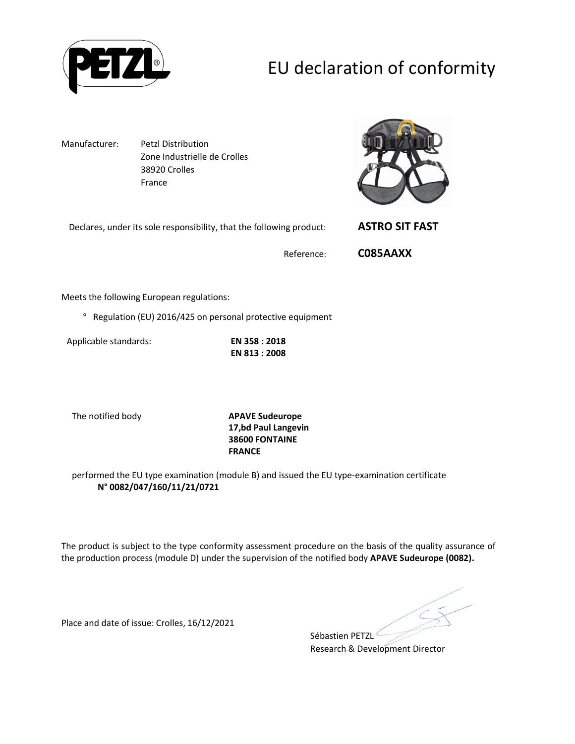

# EU declaration of conformity

Manufacturer: Petzl Distribution Zone Industrielle de Crolles 38920 Crolles France

Declares, under its sole responsibility, that the following product: **ASTRO SIT FAST**



Reference: **C085AAXX**

Meets the following European regulations:

° Regulation (EU) 2016/425 on personal protective equipment

Applicable standards: **EN 358 : 2018**

**EN 813 : 2008** 

The notified body **APAVE Sudeurope 17,bd Paul Langevin 38600 FONTAINE FRANCE**

performed the EU type examination (module B) and issued the EU type-examination certificate **N° 0082/047/160/11/21/0721**

The product is subject to the type conformity assessment procedure on the basis of the quality assurance of the production process (module D) under the supervision of the notified body **APAVE Sudeurope (0082).**

Place and date of issue: Crolles, 16/12/2021

Sébastien PETZL<sup>®</sup> Research & Development Director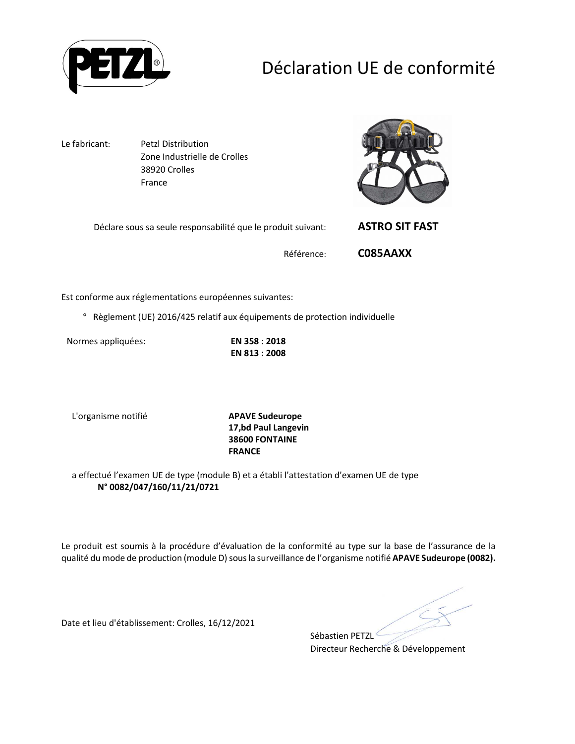

# Déclaration UE de conformité

Le fabricant: Petzl Distribution Zone Industrielle de Crolles 38920 Crolles France



Déclare sous sa seule responsabilité que le produit suivant: **ASTRO SIT FAST**

Référence: **C085AAXX**

Est conforme aux réglementations européennes suivantes:

° Règlement (UE) 2016/425 relatif aux équipements de protection individuelle

Normes appliquées: **EN 358 : 2018**

**EN 813 : 2008** 

L'organisme notifié **APAVE Sudeurope**

**17,bd Paul Langevin 38600 FONTAINE FRANCE**

a effectué l'examen UE de type (module B) et a établi l'attestation d'examen UE de type **N° 0082/047/160/11/21/0721**

Le produit est soumis à la procédure d'évaluation de la conformité au type sur la base de l'assurance de la qualité du mode de production (module D) sous la surveillance de l'organisme notifié **APAVE Sudeurope (0082).**

Sébastien PETZL

Date et lieu d'établissement: Crolles, 16/12/2021

Directeur Recherche & Développement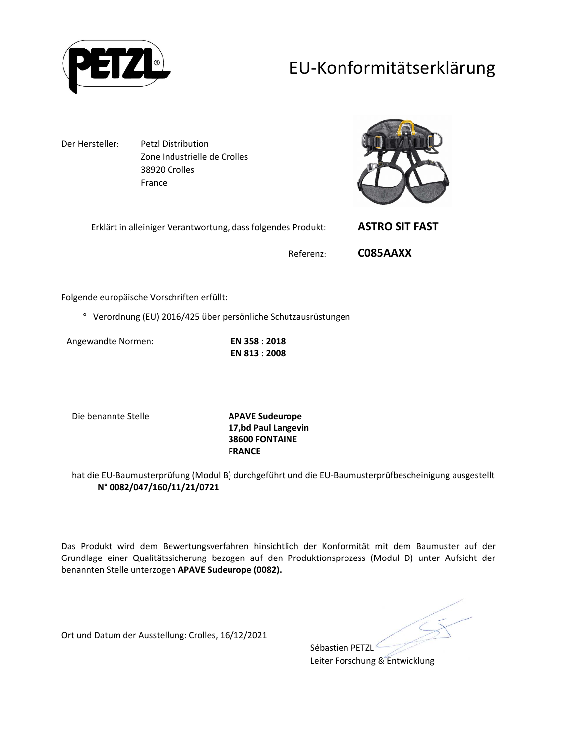

### EU-Konformitätserklärung

Der Hersteller: Petzl Distribution Zone Industrielle de Crolles 38920 Crolles France



Erklärt in alleiniger Verantwortung, dass folgendes Produkt: **ASTRO SIT FAST**

Referenz: **C085AAXX**

Folgende europäische Vorschriften erfüllt:

° Verordnung (EU) 2016/425 über persönliche Schutzausrüstungen

Angewandte Normen: **EN 358 : 2018**

**EN 813 : 2008** 

Die benannte Stelle **APAVE Sudeurope**

**17,bd Paul Langevin 38600 FONTAINE FRANCE**

hat die EU-Baumusterprüfung (Modul B) durchgeführt und die EU-Baumusterprüfbescheinigung ausgestellt **N° 0082/047/160/11/21/0721**

Das Produkt wird dem Bewertungsverfahren hinsichtlich der Konformität mit dem Baumuster auf der Grundlage einer Qualitätssicherung bezogen auf den Produktionsprozess (Modul D) unter Aufsicht der benannten Stelle unterzogen **APAVE Sudeurope (0082).**

Ort und Datum der Ausstellung: Crolles, 16/12/2021

Sébastien PETZL<sup>C</sup> Leiter Forschung & Entwicklung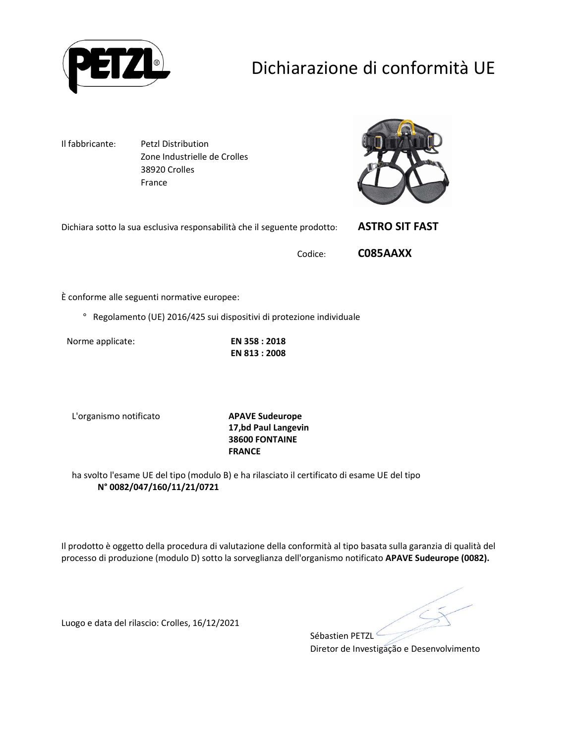

# Dichiarazione di conformità UE

Il fabbricante: Petzl Distribution Zone Industrielle de Crolles 38920 Crolles France



| Dichiara sotto la sua esclusiva responsabilità che il seguente prodotto: |         | <b>ASTRO SIT FAST</b> |
|--------------------------------------------------------------------------|---------|-----------------------|
|                                                                          | Codice: | C085AAXX              |

È conforme alle seguenti normative europee:

° Regolamento (UE) 2016/425 sui dispositivi di protezione individuale

Norme applicate: **EN 358 : 2018**

**EN 813 : 2008** 

L'organismo notificato **APAVE Sudeurope**

**17,bd Paul Langevin 38600 FONTAINE FRANCE**

ha svolto l'esame UE del tipo (modulo B) e ha rilasciato il certificato di esame UE del tipo **N° 0082/047/160/11/21/0721**

Il prodotto è oggetto della procedura di valutazione della conformità al tipo basata sulla garanzia di qualità del processo di produzione (modulo D) sotto la sorveglianza dell'organismo notificato **APAVE Sudeurope (0082).**

Sébastien PETZL<sup>®</sup> Diretor de Investigação e Desenvolvimento

Luogo e data del rilascio: Crolles, 16/12/2021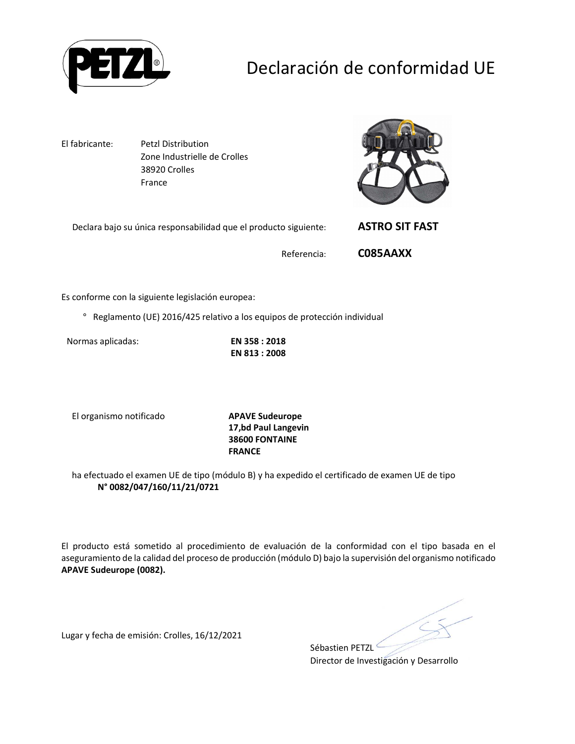

# Declaración de conformidad UE

El fabricante: Petzl Distribution Zone Industrielle de Crolles 38920 Crolles France



Declara bajo su única responsabilidad que el producto siguiente: **ASTRO SIT FAST**

Referencia: **C085AAXX**

Es conforme con la siguiente legislación europea:

° Reglamento (UE) 2016/425 relativo a los equipos de protección individual

Normas aplicadas: **EN 358 : 2018**

**EN 813 : 2008** 

El organismo notificado **APAVE Sudeurope**

**17,bd Paul Langevin 38600 FONTAINE FRANCE**

ha efectuado el examen UE de tipo (módulo B) y ha expedido el certificado de examen UE de tipo **N° 0082/047/160/11/21/0721**

El producto está sometido al procedimiento de evaluación de la conformidad con el tipo basada en el aseguramiento de la calidad del proceso de producción (módulo D) bajo la supervisión del organismo notificado **APAVE Sudeurope (0082).**

Lugar y fecha de emisión: Crolles, 16/12/2021

Sébastien PETZL

Director de Investigación y Desarrollo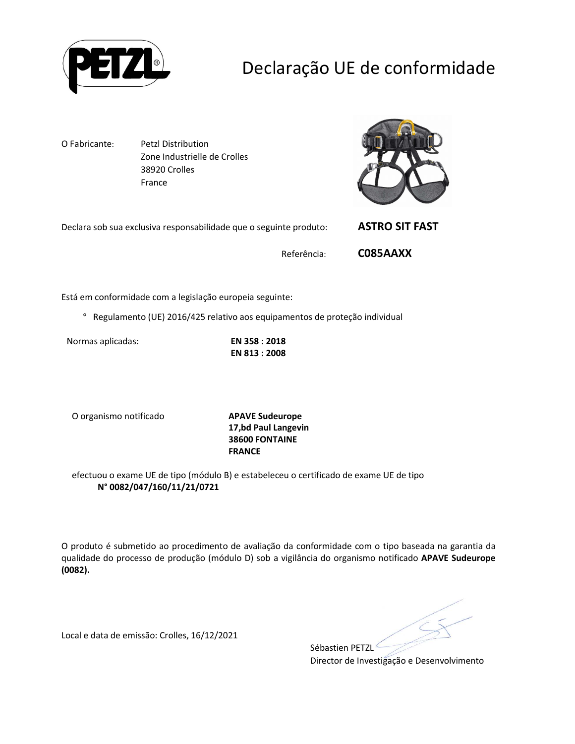

# Declaração UE de conformidade

O Fabricante: Petzl Distribution Zone Industrielle de Crolles 38920 Crolles France



| Declara sob sua exclusiva responsabilidade que o seguinte produto: | <b>ASTRO SIT FAST</b> |
|--------------------------------------------------------------------|-----------------------|
|                                                                    |                       |

Referência: **C085AAXX**

Está em conformidade com a legislação europeia seguinte:

° Regulamento (UE) 2016/425 relativo aos equipamentos de proteção individual

Normas aplicadas: **EN 358 : 2018**

**EN 813 : 2008** 

O organismo notificado **APAVE Sudeurope**

**17,bd Paul Langevin 38600 FONTAINE FRANCE**

efectuou o exame UE de tipo (módulo B) e estabeleceu o certificado de exame UE de tipo **N° 0082/047/160/11/21/0721**

O produto é submetido ao procedimento de avaliação da conformidade com o tipo baseada na garantia da qualidade do processo de produção (módulo D) sob a vigilância do organismo notificado **APAVE Sudeurope (0082).**

Local e data de emissão: Crolles, 16/12/2021

Sébastien PETZL

Director de Investigação e Desenvolvimento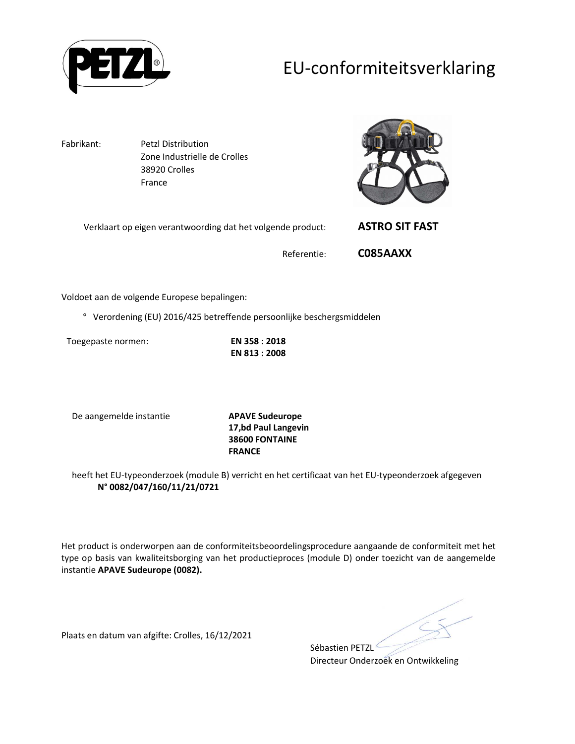

### EU-conformiteitsverklaring

Fabrikant: Petzl Distribution Zone Industrielle de Crolles 38920 Crolles France

Verklaart op eigen verantwoording dat het volgende product: **ASTRO SIT FAST**



Referentie: **C085AAXX**

Voldoet aan de volgende Europese bepalingen:

° Verordening (EU) 2016/425 betreffende persoonlijke beschergsmiddelen

Toegepaste normen: **EN 358 : 2018**

**EN 813 : 2008** 

De aangemelde instantie **APAVE Sudeurope**

**17,bd Paul Langevin 38600 FONTAINE FRANCE**

heeft het EU-typeonderzoek (module B) verricht en het certificaat van het EU-typeonderzoek afgegeven **N° 0082/047/160/11/21/0721**

Het product is onderworpen aan de conformiteitsbeoordelingsprocedure aangaande de conformiteit met het type op basis van kwaliteitsborging van het productieproces (module D) onder toezicht van de aangemelde instantie **APAVE Sudeurope (0082).**

Plaats en datum van afgifte: Crolles, 16/12/2021

Sébastien PETZL<sup>C</sup>

Directeur Onderzoek en Ontwikkeling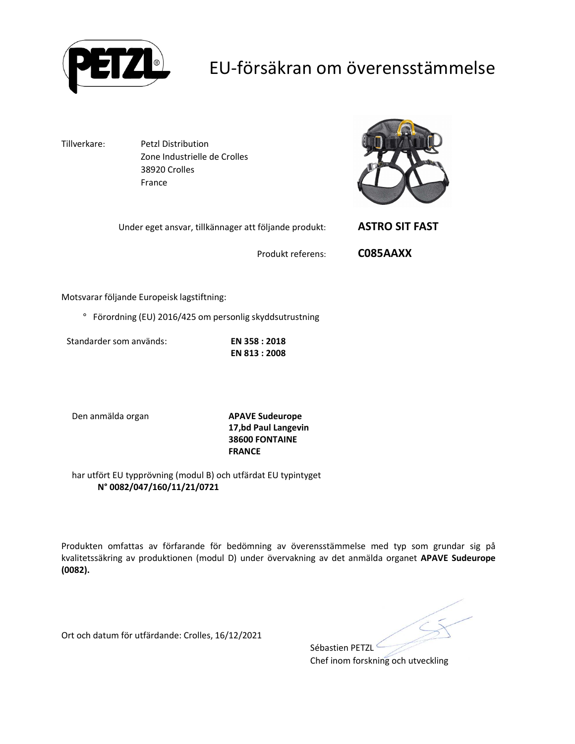

### EU-försäkran om överensstämmelse

Tillverkare: Petzl Distribution Zone Industrielle de Crolles 38920 Crolles France

Under eget ansvar, tillkännager att följande produkt: **ASTRO SIT FAST**



Produkt referens: **C085AAXX**

Motsvarar följande Europeisk lagstiftning:

° Förordning (EU) 2016/425 om personlig skyddsutrustning

Standarder som används: **EN 358 : 2018**

**EN 813 : 2008** 

Den anmälda organ **APAVE Sudeurope**

**17,bd Paul Langevin 38600 FONTAINE FRANCE**

har utfört EU typprövning (modul B) och utfärdat EU typintyget **N° 0082/047/160/11/21/0721**

Produkten omfattas av förfarande för bedömning av överensstämmelse med typ som grundar sig på kvalitetssäkring av produktionen (modul D) under övervakning av det anmälda organet **APAVE Sudeurope (0082).**

Ort och datum för utfärdande: Crolles, 16/12/2021

Sébastien PETZL<sup>C</sup>

Chef inom forskning och utveckling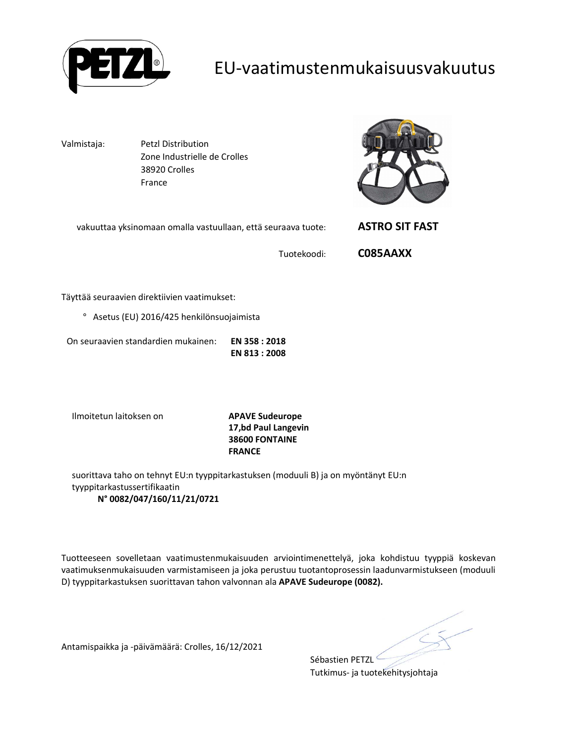

#### EU-vaatimustenmukaisuusvakuutus

Valmistaja: Petzl Distribution Zone Industrielle de Crolles 38920 Crolles France



| vakuuttaa yksinomaan omalla vastuullaan, että seuraava tuote: |  |
|---------------------------------------------------------------|--|
|---------------------------------------------------------------|--|

Tuotekoodi: **C085AAXX**

vakuuttaa yksinomaan omalla vastuullaan, että seuraava tuote: **ASTRO SIT FAST**

Täyttää seuraavien direktiivien vaatimukset:

° Asetus (EU) 2016/425 henkilönsuojaimista

On seuraavien standardien mukainen: **EN 358 : 2018 EN 813 : 2008** 

Ilmoitetun laitoksen on **APAVE Sudeurope**

**17,bd Paul Langevin 38600 FONTAINE FRANCE**

suorittava taho on tehnyt EU:n tyyppitarkastuksen (moduuli B) ja on myöntänyt EU:n tyyppitarkastussertifikaatin **N° 0082/047/160/11/21/0721**

Tuotteeseen sovelletaan vaatimustenmukaisuuden arviointimenettelyä, joka kohdistuu tyyppiä koskevan vaatimuksenmukaisuuden varmistamiseen ja joka perustuu tuotantoprosessin laadunvarmistukseen (moduuli D) tyyppitarkastuksen suorittavan tahon valvonnan ala **APAVE Sudeurope (0082).**

Antamispaikka ja -päivämäärä: Crolles, 16/12/2021

Sébastien PETZL Tutkimus- ja tuotekehitysjohtaja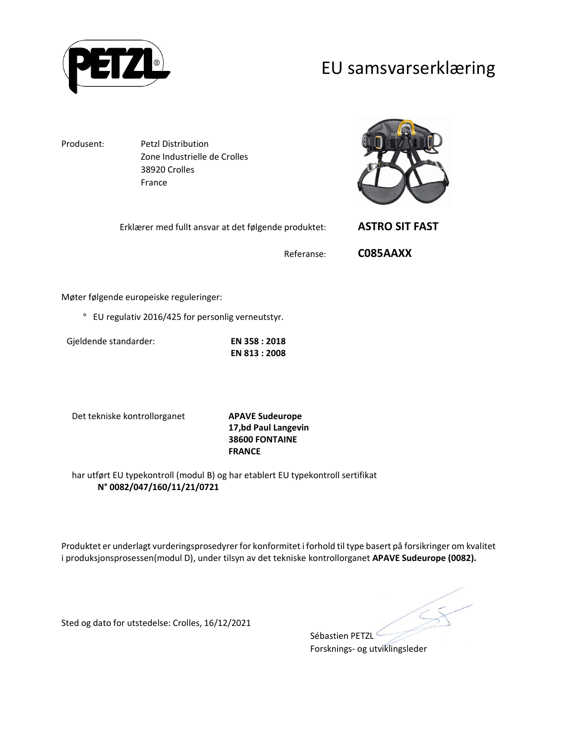

#### EU samsvarserklæring

Produsent: Petzl Distribution Zone Industrielle de Crolles 38920 Crolles France

Erklærer med fullt ansvar at det følgende produktet: **ASTRO SIT FAST**

Referanse: **C085AAXX**

Møter følgende europeiske reguleringer:

° EU regulativ 2016/425 for personlig verneutstyr.

Gjeldende standarder: **EN 358 : 2018 EN 813 : 2008** 

Det tekniske kontrollorganet **APAVE Sudeurope**

**17,bd Paul Langevin 38600 FONTAINE FRANCE**

har utført EU typekontroll (modul B) og har etablert EU typekontroll sertifikat **N° 0082/047/160/11/21/0721**

Produktet er underlagt vurderingsprosedyrer for konformitet i forhold til type basert på forsikringer om kvalitet i produksjonsprosessen(modul D), under tilsyn av det tekniske kontrollorganet **APAVE Sudeurope (0082).**

Sted og dato for utstedelse: Crolles, 16/12/2021

Sébastien PETZL<sup>6</sup> Forsknings- og utviklingsleder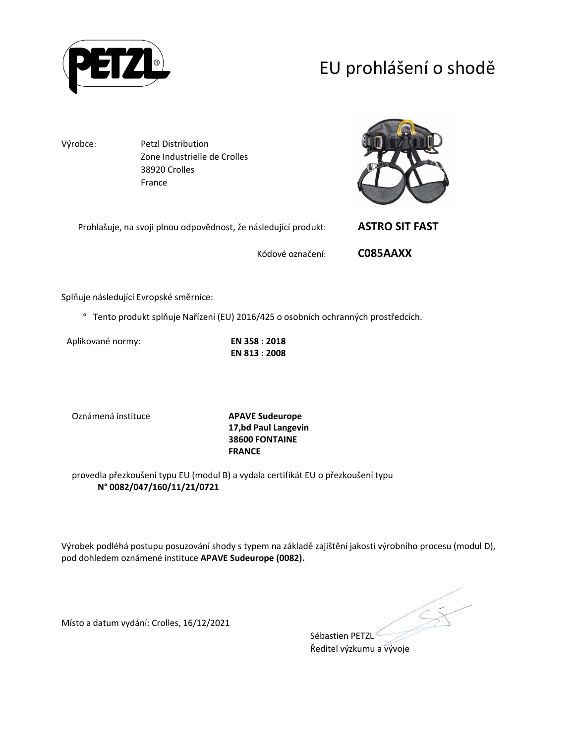

# EU prohlášení o shodě

Výrobce: Petzl Distribution Zone Industrielle de Crolles 38920 Crolles France

| Prohlašuje, na svoji plnou odpovědnost, že následující produkt: |                  | <b>ASTRO SIT FAST</b> |
|-----------------------------------------------------------------|------------------|-----------------------|
|                                                                 | Kódové označení: | C085AAXX              |

Splňuje následující Evropské směrnice:

° Tento produkt splňuje Nařízení (EU) 2016/425 o osobních ochranných prostředcích.

Aplikované normy: **EN 358 : 2018**

**EN 813 : 2008** 

Oznámená instituce **APAVE Sudeurope**

**17,bd Paul Langevin 38600 FONTAINE FRANCE**

provedla přezkoušení typu EU (modul B) a vydala certifikát EU o přezkoušení typu **N° 0082/047/160/11/21/0721**

Výrobek podléhá postupu posuzování shody s typem na základě zajištění jakosti výrobního procesu (modul D), pod dohledem oznámené instituce **APAVE Sudeurope (0082).**

Místo a datum vydání: Crolles, 16/12/2021

Sébastien PETZL<sup>®</sup>

Ředitel výzkumu a vývoje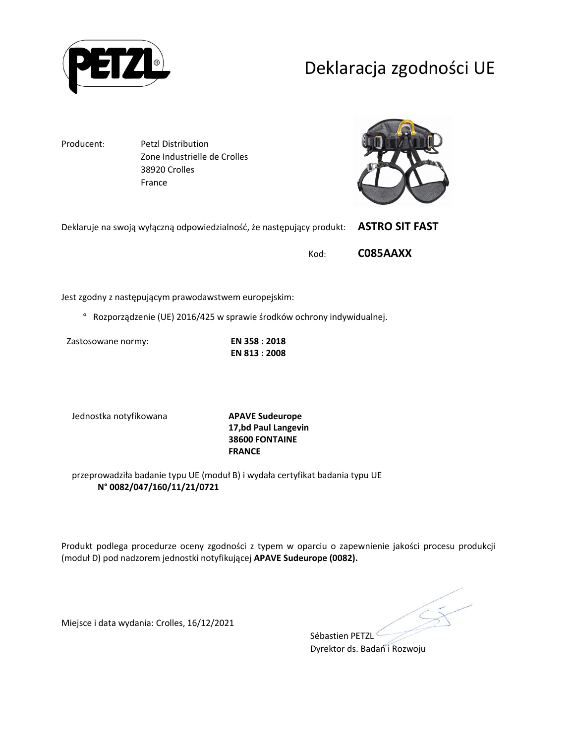

### Deklaracja zgodności UE

Producent: Petzl Distribution Zone Industrielle de Crolles 38920 Crolles France



| Deklaruje na swoją wyłączną odpowiedzialność, że następujący produkt: ASTRO SIT FAST |          |
|--------------------------------------------------------------------------------------|----------|
| Kod:                                                                                 | C085AAXX |

Jest zgodny z następującym prawodawstwem europejskim:

° Rozporządzenie (UE) 2016/425 w sprawie środków ochrony indywidualnej.

Zastosowane normy: **EN 358 : 2018**

**EN 813 : 2008** 

Jednostka notyfikowana **APAVE Sudeurope**

**17,bd Paul Langevin 38600 FONTAINE FRANCE**

przeprowadziła badanie typu UE (moduł B) i wydała certyfikat badania typu UE **N° 0082/047/160/11/21/0721**

Produkt podlega procedurze oceny zgodności z typem w oparciu o zapewnienie jakości procesu produkcji (moduł D) pod nadzorem jednostki notyfikującej **APAVE Sudeurope (0082).**

Miejsce i data wydania: Crolles, 16/12/2021

Sébastien PETZL<sup>®</sup> Dyrektor ds. Badań i Rozwoju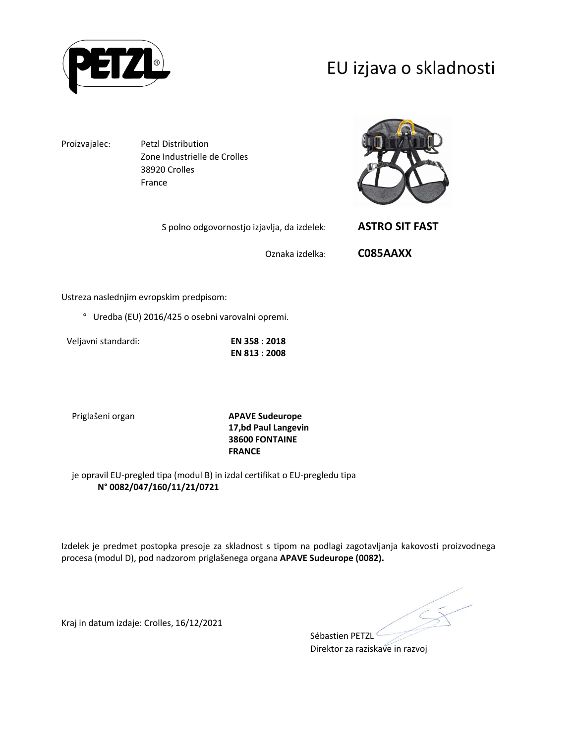

### EU izjava o skladnosti

Proizvajalec: Petzl Distribution Zone Industrielle de Crolles 38920 Crolles France

S polno odgovornostjo izjavlja, da izdelek: **ASTRO SIT FAST**



Oznaka izdelka: **C085AAXX**

Ustreza naslednjim evropskim predpisom:

° Uredba (EU) 2016/425 o osebni varovalni opremi.

Veljavni standardi: **EN 358 : 2018**

**EN 813 : 2008** 

Priglašeni organ **APAVE Sudeurope 17,bd Paul Langevin 38600 FONTAINE FRANCE**

je opravil EU-pregled tipa (modul B) in izdal certifikat o EU-pregledu tipa **N° 0082/047/160/11/21/0721**

Izdelek je predmet postopka presoje za skladnost s tipom na podlagi zagotavljanja kakovosti proizvodnega procesa (modul D), pod nadzorom priglašenega organa **APAVE Sudeurope (0082).**

Kraj in datum izdaje: Crolles, 16/12/2021

Sébastien PETZL Direktor za raziskave in razvoj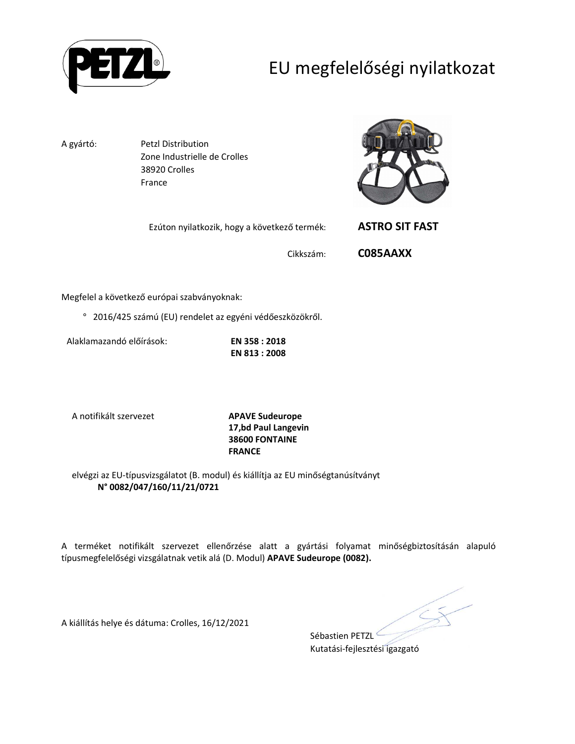

# EU megfelelőségi nyilatkozat

A gyártó: Petzl Distribution Zone Industrielle de Crolles 38920 Crolles France

Ezúton nyilatkozik, hogy a következő termék: **ASTRO SIT FAST**



Cikkszám: **C085AAXX**

Megfelel a következő európai szabványoknak:

° 2016/425 számú (EU) rendelet az egyéni védőeszközökről.

Alaklamazandó előírások: **EN 358 : 2018**

**EN 813 : 2008** 

A notifikált szervezet **APAVE Sudeurope**

**17,bd Paul Langevin 38600 FONTAINE FRANCE**

elvégzi az EU-típusvizsgálatot (B. modul) és kiállítja az EU minőségtanúsítványt **N° 0082/047/160/11/21/0721**

A terméket notifikált szervezet ellenőrzése alatt a gyártási folyamat minőségbiztosításán alapuló típusmegfelelőségi vizsgálatnak vetik alá (D. Modul) **APAVE Sudeurope (0082).**

A kiállítás helye és dátuma: Crolles, 16/12/2021

Sébastien PETZL

Kutatási-fejlesztési igazgató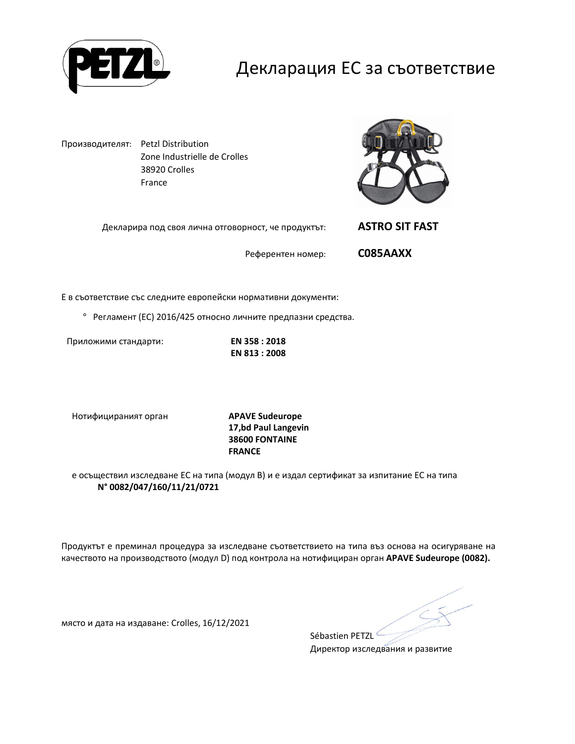

### Декларация ЕС за съответствие

Производителят: Petzl Distribution Zone Industrielle de Crolles 38920 Crolles France



Декларира под своя лична отговорност, че продуктът: **ASTRO SIT FAST**

Референтен номер: **C085AAXX**

Е в съответствие със следните европейски нормативни документи:

° Регламент (ЕС) 2016/425 относно личните предпазни средства.

Приложими стандарти: **EN 358 : 2018**

**EN 813 : 2008** 

Нотифицираният орган **APAVE Sudeurope**

**17,bd Paul Langevin 38600 FONTAINE FRANCE**

е осъществил изследване ЕС на типа (модул В) и е издал сертификат за изпитание ЕС на типа **N° 0082/047/160/11/21/0721**

Продуктът е преминал процедура за изследване съответствието на типа въз основа на осигуряване на качеството на производството (модул D) под контрола на нотифициран орган **APAVE Sudeurope (0082).**

Sébastien PETZL

място и дата на издаване: Crolles, 16/12/2021

Директор изследвания и развитие